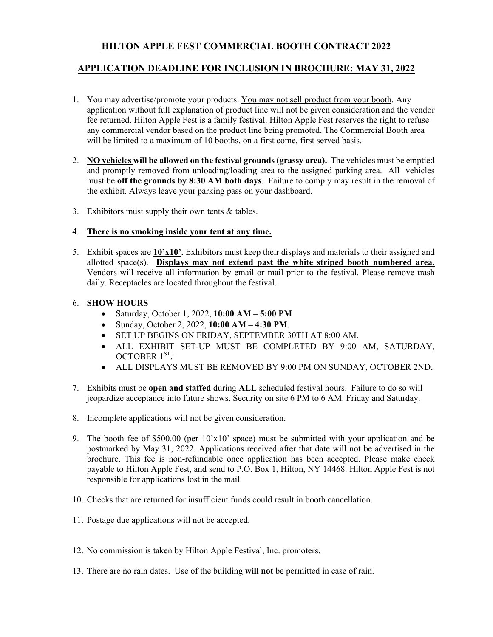# **HILTON APPLE FEST COMMERCIAL BOOTH CONTRACT 2022**

## **APPLICATION DEADLINE FOR INCLUSION IN BROCHURE: MAY 31, 2022**

- 1. You may advertise/promote your products. You may not sell product from your booth. Any application without full explanation of product line will not be given consideration and the vendor fee returned. Hilton Apple Fest is a family festival. Hilton Apple Fest reserves the right to refuse any commercial vendor based on the product line being promoted. The Commercial Booth area will be limited to a maximum of 10 booths, on a first come, first served basis.
- 2. **NO vehicles will be allowed on the festival grounds (grassy area).** The vehicles must be emptied and promptly removed from unloading/loading area to the assigned parking area. All vehicles must be **off the grounds by 8:30 AM both days**. Failure to comply may result in the removal of the exhibit. Always leave your parking pass on your dashboard.
- 3. Exhibitors must supply their own tents  $&$  tables.

#### 4. **There is no smoking inside your tent at any time.**

5. Exhibit spaces are **10'x10'.** Exhibitors must keep their displays and materials to their assigned and allotted space(s). **Displays may not extend past the white striped booth numbered area.** Vendors will receive all information by email or mail prior to the festival. Please remove trash daily. Receptacles are located throughout the festival.

### 6. **SHOW HOURS**

- Saturday, October 1, 2022, **10:00 AM – 5:00 PM**
- Sunday, October 2, 2022, **10:00 AM – 4:30 PM**.
- SET UP BEGINS ON FRIDAY, SEPTEMBER 30TH AT 8:00 AM.
- ALL EXHIBIT SET-UP MUST BE COMPLETED BY 9:00 AM, SATURDAY, OCTOBER 1<sup>ST</sup>.
- ALL DISPLAYS MUST BE REMOVED BY 9:00 PM ON SUNDAY, OCTOBER 2ND.
- 7. Exhibits must be **open and staffed** during **ALL** scheduled festival hours. Failure to do so will jeopardize acceptance into future shows. Security on site 6 PM to 6 AM. Friday and Saturday.
- 8. Incomplete applications will not be given consideration.
- 9. The booth fee of \$500.00 (per  $10^{\circ}x10^{\circ}$  space) must be submitted with your application and be postmarked by May 31, 2022. Applications received after that date will not be advertised in the brochure. This fee is non-refundable once application has been accepted. Please make check payable to Hilton Apple Fest, and send to P.O. Box 1, Hilton, NY 14468. Hilton Apple Fest is not responsible for applications lost in the mail.
- 10. Checks that are returned for insufficient funds could result in booth cancellation.
- 11. Postage due applications will not be accepted.
- 12. No commission is taken by Hilton Apple Festival, Inc. promoters.
- 13. There are no rain dates. Use of the building **will not** be permitted in case of rain.